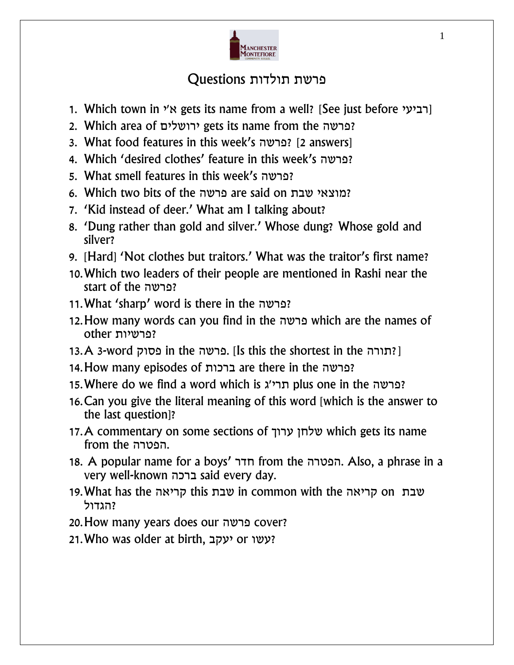

## פרשת תולדות Questions

- 1. Which town in  $y$ א' gets its name from a well? [See just before רביעי]
- 2. Which area of ירושלים gets its name from the פרשה?
- 3. What food features in this week's פרשה] ?2 answers]
- 4. Which 'desired clothes' feature in this week's פרשה?
- 5. What smell features in this week's פרשה?
- 6. Which two bits of the פרשה are said on שבת מוצאי?
- 7. 'Kid instead of deer.' What am I talking about?
- 8. 'Dung rather than gold and silver.' Whose dung? Whose gold and silver?
- 9. [Hard] 'Not clothes but traitors.' What was the traitor's first name?
- 10.Which two leaders of their people are mentioned in Rashi near the start of the פרשה?
- 11.What 'sharp' word is there in the פרשה?
- 12.How many words can you find in the פרשה which are the names of ?פרשיות other
- 13.A 3-word פסוק in the פרשה. [Is this the shortest in the  $\mathsf{?}$
- 14.How many episodes of ברכות are there in the פרשה?
- 15. Where do we find a word which is הרי plus one in the פרשה?
- 16.Can you give the literal meaning of this word [which is the answer to the last question]?
- 17.A commentary on some sections of ערוך שלחן which gets its name from the הפטרה.
- 18. A popular name for a boys' חדר from the הפטרה. Also, a phrase in a very well-known ברכה said every day.
- 19.What has the קריאה this שבת in common with the קריאה on שבת ?הגדול
- 20.How many years does our פרשה cover?
- 21.Who was older at birth, יעקב or עשו?